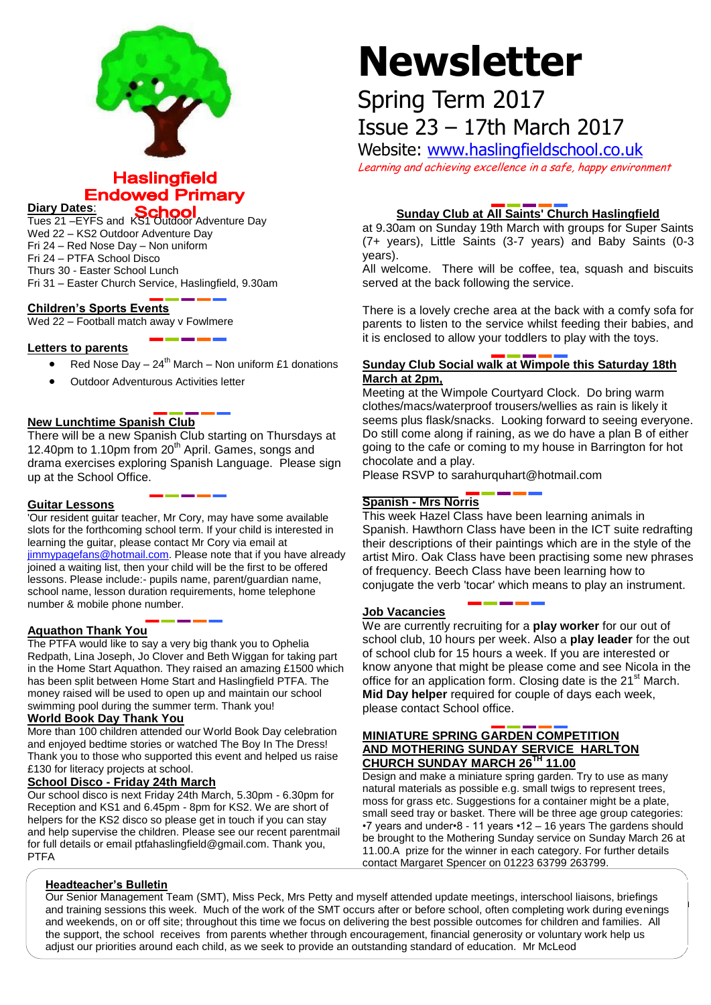

# **Haslingfield Endowed Primary**

**Diary Dates**:

**Diary Dates.**<br>Tues 21 –EYFS and KS1 Outdoor Adventure Day Wed 22 – KS2 Outdoor Adventure Day Fri 24 – Red Nose Day – Non uniform Fri 24 – PTFA School Disco Thurs 30 - Easter School Lunch Fri 31 – Easter Church Service, Haslingfield, 9.30am

# **Children's Sports Events**

Wed 22 – Football match away v Fowlmere

# **Letters to parents**

- Red Nose Day  $24^{th}$  March Non uniform £1 donations
- Outdoor Adventurous Activities letter

# **New Lunchtime Spanish Club**

There will be a new Spanish Club starting on Thursdays at 12.40pm to 1.10pm from 20<sup>th</sup> April. Games, songs and drama exercises exploring Spanish Language. Please sign up at the School Office.

# **Guitar Lessons**

'Our resident guitar teacher, Mr Cory, may have some available slots for the forthcoming school term. If your child is interested in learning the guitar, please contact Mr Cory via email at [jimmypagefans@hotmail.com.](mailto:jimmypagefans@hotmail.com) Please note that if you have already joined a waiting list, then your child will be the first to be offered lessons. Please include:- pupils name, parent/guardian name, school name, lesson duration requirements, home telephone number & mobile phone number.

# **Aquathon Thank You**

The PTFA would like to say a very big thank you to Ophelia Redpath, Lina Joseph, Jo Clover and Beth Wiggan for taking part in the Home Start Aquathon. They raised an amazing £1500 which has been split between Home Start and Haslingfield PTFA. The money raised will be used to open up and maintain our school swimming pool during the summer term. Thank you!

# **World Book Day Thank You**

More than 100 children attended our World Book Day celebration and enjoyed bedtime stories or watched The Boy In The Dress! Thank you to those who supported this event and helped us raise £130 for literacy projects at school.

# **School Disco - Friday 24th March**

Our school disco is next Friday 24th March, 5.30pm - 6.30pm for Reception and KS1 and 6.45pm - 8pm for KS2. We are short of helpers for the KS2 disco so please get in touch if you can stay and help supervise the children. Please see our recent parentmail for full details or email ptfahaslingfield@gmail.com. Thank you, PTFA

# **Newsletter**

# Spring Term 2017 Issue 23 – 17th March 2017

Website: [www.haslingfieldschool.co.uk](http://www.haslingfieldschool.co.uk/) Learning and achieving excellence in a safe, happy environment

# **Sunday Club at All Saints' Church Haslingfield**

at 9.30am on Sunday 19th March with groups for Super Saints (7+ years), Little Saints (3-7 years) and Baby Saints (0-3 years).

All welcome. There will be coffee, tea. squash and biscuits served at the back following the service.

There is a lovely creche area at the back with a comfy sofa for parents to listen to the service whilst feeding their babies, and it is enclosed to allow your toddlers to play with the toys.

# **Sunday Club Social walk at Wimpole this Saturday 18th March at 2pm,**

Meeting at the Wimpole Courtyard Clock. Do bring warm clothes/macs/waterproof trousers/wellies as rain is likely it seems plus flask/snacks. Looking forward to seeing everyone. Do still come along if raining, as we do have a plan B of either going to the cafe or coming to my house in Barrington for hot chocolate and a play.

Please RSVP to sarahurquhart@hotmail.com

#### **Spanish - Mrs Norris**

This week Hazel Class have been learning animals in Spanish. Hawthorn Class have been in the ICT suite redrafting their descriptions of their paintings which are in the style of the artist Miro. Oak Class have been practising some new phrases of frequency. Beech Class have been learning how to conjugate the verb 'tocar' which means to play an instrument.

# **Job Vacancies**

 school club, 10 hours per week. Also a **play leader** for the out We are currently recruiting for a **play worker** for our out of of school club for 15 hours a week. If you are interested or know anyone that might be please come and see Nicola in the office for an application form. Closing date is the  $21<sup>st</sup>$  March. **Mid Day helper** required for couple of days each week, please contact School office.

# **MINIATURE SPRING GARDEN COMPETITION AND MOTHERING SUNDAY SERVICE HARLTON CHURCH SUNDAY MARCH 26TH 11.00**

Design and make a miniature spring garden. Try to use as many natural materials as possible e.g. small twigs to represent trees, moss for grass etc. Suggestions for a container might be a plate, small seed tray or basket. There will be three age group categories: •7 years and under•8 - 11 years •12 – 16 years The gardens should be brought to the Mothering Sunday service on Sunday March 26 at 11.00.A prize for the winner in each category. For further details contact Margaret Spencer on 01223 63799 263799.

# **Headteacher's Bulletin**

<u>rleadteacher s Bulletin</u><br>Our Senior Management Team (SMT), Miss Peck, Mrs Petty and myself attended update meetings, interschool liaisons, briefings Our Senior management ream (SMT), miss Heck, mis Heity and mysell attended update meetings, interschool halsons, briefings<br>and training sessions this week. Much of the work of the SMT occurs after or before school, often c and training sessions this week. Much of the work of the SMT occurs after or before school, often completing work during evenings<br>and weekends, on or off site; throughout this time we focus on delivering the best possible and mechanics, and on the school receives from parents whether through encouragement, financial generosity or voluntary work help us adjust our priorities around each child, as we seek to provide an outstanding standard of education. Mr McLeod